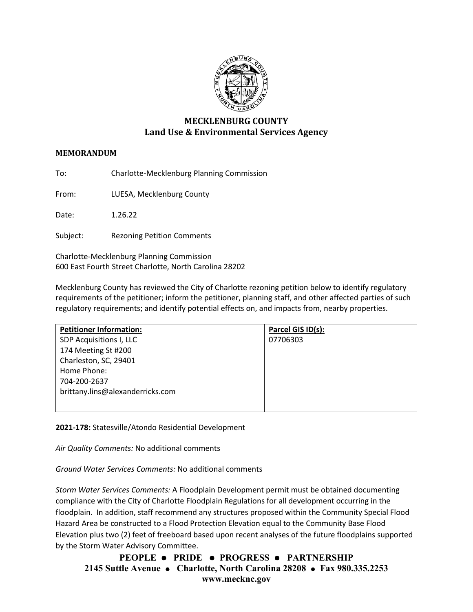

## **MECKLENBURG COUNTY Land Use & Environmental Services Agency**

## **MEMORANDUM**

To: Charlotte-Mecklenburg Planning Commission

From: LUESA, Mecklenburg County

Date: 1.26.22

Subject: Rezoning Petition Comments

Charlotte-Mecklenburg Planning Commission 600 East Fourth Street Charlotte, North Carolina 28202

Mecklenburg County has reviewed the City of Charlotte rezoning petition below to identify regulatory requirements of the petitioner; inform the petitioner, planning staff, and other affected parties of such regulatory requirements; and identify potential effects on, and impacts from, nearby properties.

| <b>Petitioner Information:</b>   | Parcel GIS ID(s): |
|----------------------------------|-------------------|
| SDP Acquisitions I, LLC          | 07706303          |
| 174 Meeting St #200              |                   |
| Charleston, SC, 29401            |                   |
| Home Phone:                      |                   |
| 704-200-2637                     |                   |
| brittany.lins@alexanderricks.com |                   |
|                                  |                   |

**2021-178:** Statesville/Atondo Residential Development

*Air Quality Comments:* No additional comments

*Ground Water Services Comments:* No additional comments

*Storm Water Services Comments:* A Floodplain Development permit must be obtained documenting compliance with the City of Charlotte Floodplain Regulations for all development occurring in the floodplain. In addition, staff recommend any structures proposed within the Community Special Flood Hazard Area be constructed to a Flood Protection Elevation equal to the Community Base Flood Elevation plus two (2) feet of freeboard based upon recent analyses of the future floodplains supported by the Storm Water Advisory Committee.

**PEOPLE PRIDE PROGRESS PARTNERSHIP 2145 Suttle Avenue Charlotte, North Carolina 28208 Fax 980.335.2253 www.mecknc.gov**